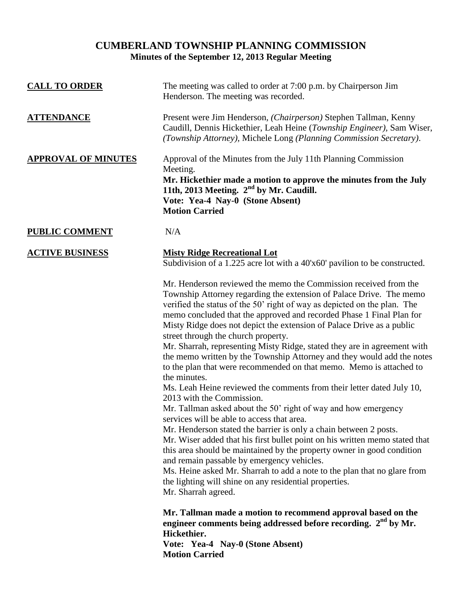# **CUMBERLAND TOWNSHIP PLANNING COMMISSION Minutes of the September 12, 2013 Regular Meeting**

| <b>CALL TO ORDER</b>       | The meeting was called to order at 7:00 p.m. by Chairperson Jim<br>Henderson. The meeting was recorded.                                                                                                                                                                                                                                                                                                                                                                                                                                                                                                                                                                                                                                                                                                                                                                                                                                                                                                                                                                                                                                                                                                                                                                                                                 |
|----------------------------|-------------------------------------------------------------------------------------------------------------------------------------------------------------------------------------------------------------------------------------------------------------------------------------------------------------------------------------------------------------------------------------------------------------------------------------------------------------------------------------------------------------------------------------------------------------------------------------------------------------------------------------------------------------------------------------------------------------------------------------------------------------------------------------------------------------------------------------------------------------------------------------------------------------------------------------------------------------------------------------------------------------------------------------------------------------------------------------------------------------------------------------------------------------------------------------------------------------------------------------------------------------------------------------------------------------------------|
| <b>ATTENDANCE</b>          | Present were Jim Henderson, (Chairperson) Stephen Tallman, Kenny<br>Caudill, Dennis Hickethier, Leah Heine (Township Engineer), Sam Wiser,<br>(Township Attorney), Michele Long (Planning Commission Secretary).                                                                                                                                                                                                                                                                                                                                                                                                                                                                                                                                                                                                                                                                                                                                                                                                                                                                                                                                                                                                                                                                                                        |
| <b>APPROVAL OF MINUTES</b> | Approval of the Minutes from the July 11th Planning Commission<br>Meeting.<br>Mr. Hickethier made a motion to approve the minutes from the July<br>11th, 2013 Meeting. 2 <sup>nd</sup> by Mr. Caudill.<br>Vote: Yea-4 Nay-0 (Stone Absent)<br><b>Motion Carried</b>                                                                                                                                                                                                                                                                                                                                                                                                                                                                                                                                                                                                                                                                                                                                                                                                                                                                                                                                                                                                                                                     |
| <b>PUBLIC COMMENT</b>      | N/A                                                                                                                                                                                                                                                                                                                                                                                                                                                                                                                                                                                                                                                                                                                                                                                                                                                                                                                                                                                                                                                                                                                                                                                                                                                                                                                     |
| <b>ACTIVE BUSINESS</b>     | <b>Misty Ridge Recreational Lot</b><br>Subdivision of a 1.225 acre lot with a 40'x60' pavilion to be constructed.                                                                                                                                                                                                                                                                                                                                                                                                                                                                                                                                                                                                                                                                                                                                                                                                                                                                                                                                                                                                                                                                                                                                                                                                       |
|                            | Mr. Henderson reviewed the memo the Commission received from the<br>Township Attorney regarding the extension of Palace Drive. The memo<br>verified the status of the 50' right of way as depicted on the plan. The<br>memo concluded that the approved and recorded Phase 1 Final Plan for<br>Misty Ridge does not depict the extension of Palace Drive as a public<br>street through the church property.<br>Mr. Sharrah, representing Misty Ridge, stated they are in agreement with<br>the memo written by the Township Attorney and they would add the notes<br>to the plan that were recommended on that memo. Memo is attached to<br>the minutes.<br>Ms. Leah Heine reviewed the comments from their letter dated July 10,<br>2013 with the Commission.<br>Mr. Tallman asked about the 50' right of way and how emergency<br>services will be able to access that area.<br>Mr. Henderson stated the barrier is only a chain between 2 posts.<br>Mr. Wiser added that his first bullet point on his written memo stated that<br>this area should be maintained by the property owner in good condition<br>and remain passable by emergency vehicles.<br>Ms. Heine asked Mr. Sharrah to add a note to the plan that no glare from<br>the lighting will shine on any residential properties.<br>Mr. Sharrah agreed. |
|                            | Mr. Tallman made a motion to recommend approval based on the<br>engineer comments being addressed before recording. 2 <sup>nd</sup> by Mr.<br>Hickethier.                                                                                                                                                                                                                                                                                                                                                                                                                                                                                                                                                                                                                                                                                                                                                                                                                                                                                                                                                                                                                                                                                                                                                               |
|                            | Vote: Yea-4 Nay-0 (Stone Absent)<br><b>Motion Carried</b>                                                                                                                                                                                                                                                                                                                                                                                                                                                                                                                                                                                                                                                                                                                                                                                                                                                                                                                                                                                                                                                                                                                                                                                                                                                               |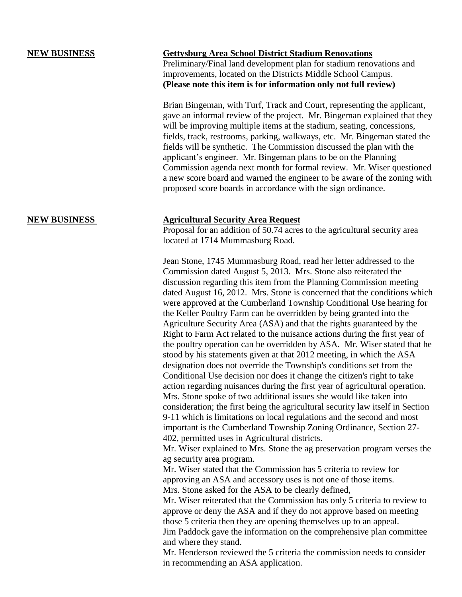## **NEW BUSINESS Gettysburg Area School District Stadium Renovations**

Preliminary/Final land development plan for stadium renovations and improvements, located on the Districts Middle School Campus. **(Please note this item is for information only not full review)**

Brian Bingeman, with Turf, Track and Court, representing the applicant, gave an informal review of the project. Mr. Bingeman explained that they will be improving multiple items at the stadium, seating, concessions, fields, track, restrooms, parking, walkways, etc. Mr. Bingeman stated the fields will be synthetic. The Commission discussed the plan with the applicant's engineer. Mr. Bingeman plans to be on the Planning Commission agenda next month for formal review. Mr. Wiser questioned a new score board and warned the engineer to be aware of the zoning with proposed score boards in accordance with the sign ordinance.

## **NEW BUSINESS Agricultural Security Area Request**

Proposal for an addition of 50.74 acres to the agricultural security area located at 1714 Mummasburg Road.

Jean Stone, 1745 Mummasburg Road, read her letter addressed to the Commission dated August 5, 2013. Mrs. Stone also reiterated the discussion regarding this item from the Planning Commission meeting dated August 16, 2012. Mrs. Stone is concerned that the conditions which were approved at the Cumberland Township Conditional Use hearing for the Keller Poultry Farm can be overridden by being granted into the Agriculture Security Area (ASA) and that the rights guaranteed by the Right to Farm Act related to the nuisance actions during the first year of the poultry operation can be overridden by ASA. Mr. Wiser stated that he stood by his statements given at that 2012 meeting, in which the ASA designation does not override the Township's conditions set from the Conditional Use decision nor does it change the citizen's right to take action regarding nuisances during the first year of agricultural operation. Mrs. Stone spoke of two additional issues she would like taken into consideration; the first being the agricultural security law itself in Section 9-11 which is limitations on local regulations and the second and most important is the Cumberland Township Zoning Ordinance, Section 27- 402, permitted uses in Agricultural districts.

Mr. Wiser explained to Mrs. Stone the ag preservation program verses the ag security area program.

Mr. Wiser stated that the Commission has 5 criteria to review for approving an ASA and accessory uses is not one of those items. Mrs. Stone asked for the ASA to be clearly defined,

Mr. Wiser reiterated that the Commission has only 5 criteria to review to approve or deny the ASA and if they do not approve based on meeting those 5 criteria then they are opening themselves up to an appeal. Jim Paddock gave the information on the comprehensive plan committee and where they stand.

Mr. Henderson reviewed the 5 criteria the commission needs to consider in recommending an ASA application.